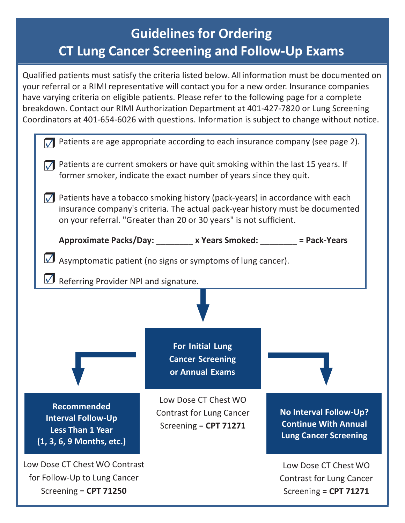# **Guidelines for Ordering CT Lung Cancer Screening and Follow-Up Exams**

Qualified patients must satisfy the criteria listed below. All information must be documented on your referral or a RIMI representative will contact you for a new order. Insurance companies have varying criteria on eligible patients. Please refer to the following page for a complete breakdown. Contact our RIMI Authorization Department at 401-427-7820 or Lung Screening Coordinators at 401-654-6026 with questions. Information is subject to change without notice.

| Patients are age appropriate according to each insurance company (see page 2).                                                                                                                                                                                  |                                                                                  |                                                                                              |  |  |  |
|-----------------------------------------------------------------------------------------------------------------------------------------------------------------------------------------------------------------------------------------------------------------|----------------------------------------------------------------------------------|----------------------------------------------------------------------------------------------|--|--|--|
| Patients are current smokers or have quit smoking within the last 15 years. If<br>former smoker, indicate the exact number of years since they quit.                                                                                                            |                                                                                  |                                                                                              |  |  |  |
| Patients have a tobacco smoking history (pack-years) in accordance with each<br>$\overline{\mathcal{M}}$<br>insurance company's criteria. The actual pack-year history must be documented<br>on your referral. "Greater than 20 or 30 years" is not sufficient. |                                                                                  |                                                                                              |  |  |  |
| Approximate Packs/Day: _________ x Years Smoked: ________ = Pack-Years                                                                                                                                                                                          |                                                                                  |                                                                                              |  |  |  |
| Asymptomatic patient (no signs or symptoms of lung cancer).                                                                                                                                                                                                     |                                                                                  |                                                                                              |  |  |  |
| Referring Provider NPI and signature.                                                                                                                                                                                                                           |                                                                                  |                                                                                              |  |  |  |
|                                                                                                                                                                                                                                                                 |                                                                                  |                                                                                              |  |  |  |
|                                                                                                                                                                                                                                                                 | For Initial Lung<br><b>Cancer Screening</b><br>or Annual Exams                   |                                                                                              |  |  |  |
| <b>Recommended</b><br><b>Interval Follow-Up</b><br><b>Less Than 1 Year</b><br>(1, 3, 6, 9 Months, etc.)                                                                                                                                                         | Low Dose CT Chest WO<br><b>Contrast for Lung Cancer</b><br>Screening = CPT 71271 | <b>No Interval Follow-Up?</b><br><b>Continue With Annual</b><br><b>Lung Cancer Screening</b> |  |  |  |
| Low Dose CT Chest WO Contrast<br>for Follow-Up to Lung Cancer<br>Screening = CPT 71250                                                                                                                                                                          |                                                                                  | Low Dose CT Chest WO<br><b>Contrast for Lung Cancer</b><br>Screening = $CPT 71271$           |  |  |  |